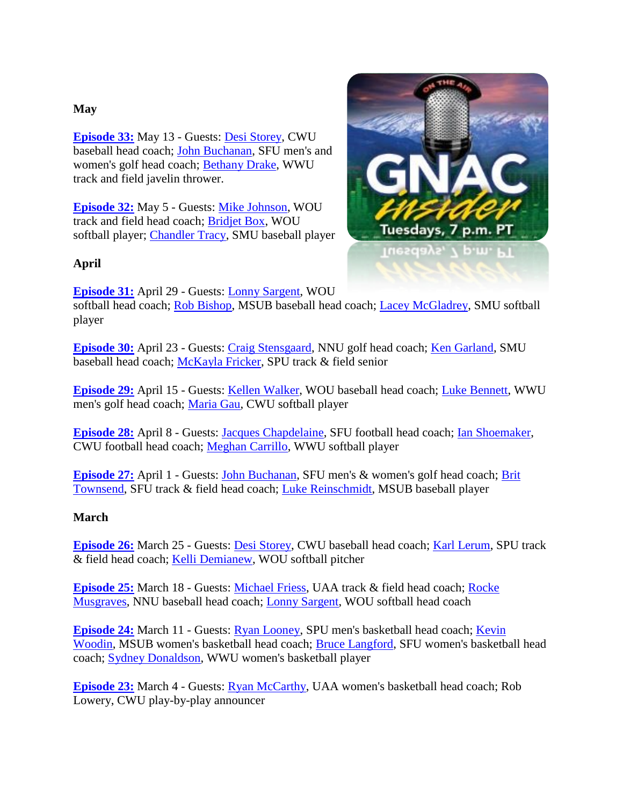# **May**

**[Episode 33:](http://www.blogtalkradio.com/gnacinsider/2014/05/14/gnac-insider-episode-33)** May 13 - Guests: [Desi Storey,](http://www.wildcatsports.com/coaches.aspx?rc=358&path=baseball) CWU baseball head coach; [John Buchanan,](http://athletics.sfu.ca/coaches.aspx?rc=170&path=mgolf) SFU men's and women's golf head coach; [Bethany Drake,](http://www.wwuvikings.com/sports/c-track/mtt/bethany_drake_833078.html) WWU track and field javelin thrower.

**[Episode 32:](http://www.blogtalkradio.com/gnacinsider/2014/05/06/gnac-insider-episode-32)** May 5 - Guests: [Mike Johnson,](http://www.wouwolves.com/coaches.aspx?rc=391&path=track) WOU track and field head coach; [Bridjet Box,](http://www.wouwolves.com/roster.aspx?rp_id=2564&path=softball) WOU softball player; [Chandler Tracy,](http://www.smusaints.com/roster.aspx?rp_id=1457&path=baseball) SMU baseball player

# **April**

**[Episode 31:](http://www.blogtalkradio.com/gnacinsider/2014/04/30/gnac-insider-episode-31)** April 29 - Guests: [Lonny Sargent,](http://www.wouwolves.com/coaches.aspx?rc=369&path=softball) WOU

softball head coach; [Rob Bishop,](http://www.msubsports.com/coaches.aspx?rc=189&path=baseball) MSUB baseball head coach; [Lacey McGladrey,](http://www.smusaints.com/roster.aspx?rp_id=1425&path=softball) SMU softball player

**[Episode 30:](http://www.blogtalkradio.com/gnacinsider/2014/04/24/gnac-insider-episode-30)** April 23 - Guests: [Craig Stensgaard,](http://www.nnusports.com/coaches.aspx?rc=331&path=mgolf) NNU golf head coach; [Ken Garland,](http://www.smusaints.com/coaches.aspx?rc=253&path=baseball) SMU baseball head coach; [McKayla Fricker,](http://www.spufalcons.com/roster.aspx?rp_id=1330&path=) SPU track & field senior

**[Episode 29:](http://www.blogtalkradio.com/gnacinsider/2014/04/16/gnac-insider-episode-29)** April 15 - Guests: [Kellen Walker,](http://www.wouwolves.com/coaches.aspx?rc=405&path=baseball) WOU baseball head coach; [Luke Bennett,](http://www.wwuvikings.com/sports/m-golf/mtt/luke_bennett_846158.html) WWU men's golf head coach; [Maria Gau,](http://www.wildcatsports.com/roster.aspx?rp_id=1876&path=softball) CWU softball player

**[Episode 28:](http://www.blogtalkradio.com/gnacinsider/2014/04/09/gnac-insider-episode-28)** April 8 - Guests: [Jacques Chapdelaine,](http://athletics.sfu.ca/coaches.aspx?rc=178&path=football) SFU football head coach; [Ian Shoemaker,](http://www.wildcatsports.com/staff.aspx?staff=114) CWU football head coach; [Meghan Carrillo,](http://www.wwuvikings.com/sports/w-softbl/mtt/meghan_carrillo_722401.html) WWU softball player

**[Episode 27:](http://www.blogtalkradio.com/gnacinsider/2014/04/02/gnac-insider-episode-27)** April 1 - Guests: [John Buchanan,](http://athletics.sfu.ca/coaches.aspx?rc=130&path=wgolf) SFU men's & women's golf head coach; [Brit](http://athletics.sfu.ca/coaches.aspx?rc=164&path=wtrack)  [Townsend,](http://athletics.sfu.ca/coaches.aspx?rc=164&path=wtrack) SFU track & field head coach; [Luke Reinschmidt,](http://www.msubsports.com/roster.aspx?rp_id=1311&path=baseball) MSUB baseball player

# **March**

**[Episode 26:](http://www.blogtalkradio.com/gnacinsider/2014/03/26/gnac-insider-episode-26)** March 25 - Guests: [Desi Storey,](http://www.wildcatsports.com/coaches.aspx?rc=358&path=baseball) CWU baseball head coach; [Karl Lerum,](http://www.spufalcons.com/coaches.aspx?rc=304&path=) SPU track & field head coach; [Kelli Demianew,](http://www.wouwolves.com/roster.aspx?rp_id=2655&path=softball) WOU softball pitcher

**[Episode 25:](http://www.blogtalkradio.com/gnacinsider/2014/03/19/gnac-insider-episode-25)** March 18 - Guests: [Michael Friess,](http://www.goseawolves.com/ViewArticle.dbml?SPSID=58350&SPID=6359&DB_LANG=C&DB_OEM_ID=13400&ATCLID=209396061&Q_SEASON=2013) UAA track & field head coach; [Rocke](http://www.nnusports.com/coaches.aspx?rc=348&path=baseball)  [Musgraves,](http://www.nnusports.com/coaches.aspx?rc=348&path=baseball) NNU baseball head coach; [Lonny Sargent,](http://www.wouwolves.com/coaches.aspx?rc=369&path=softball) WOU softball head coach

**[Episode 24:](http://www.blogtalkradio.com/gnacinsider/2014/03/12/gnac-insider-episode-24)** March 11 - Guests: [Ryan Looney,](http://www.spufalcons.com/coaches.aspx?rc=344&path=mbball) SPU men's basketball head coach; [Kevin](http://www.msubsports.com/coaches.aspx?rc=180&path=wbball)  [Woodin,](http://www.msubsports.com/coaches.aspx?rc=180&path=wbball) MSUB women's basketball head coach; [Bruce Langford,](http://athletics.sfu.ca/coaches.aspx?rc=134&path=wbball) SFU women's basketball head coach; [Sydney Donaldson,](http://www.wwuvikings.com/sports/w-baskbl/mtt/sydney_donaldson_757065.html) WWU women's basketball player

**[Episode 23:](http://www.blogtalkradio.com/gnacinsider/2014/03/05/gnac-insider-episode-23)** March 4 - Guests: [Ryan McCarthy,](http://www.goseawolves.com/ViewArticle.dbml?SPSID=58336&SPID=6357&DB_LANG=C&DB_OEM_ID=13400&ATCLID=205587547&Q_SEASON=2013) UAA women's basketball head coach; Rob Lowery, CWU play-by-play announcer

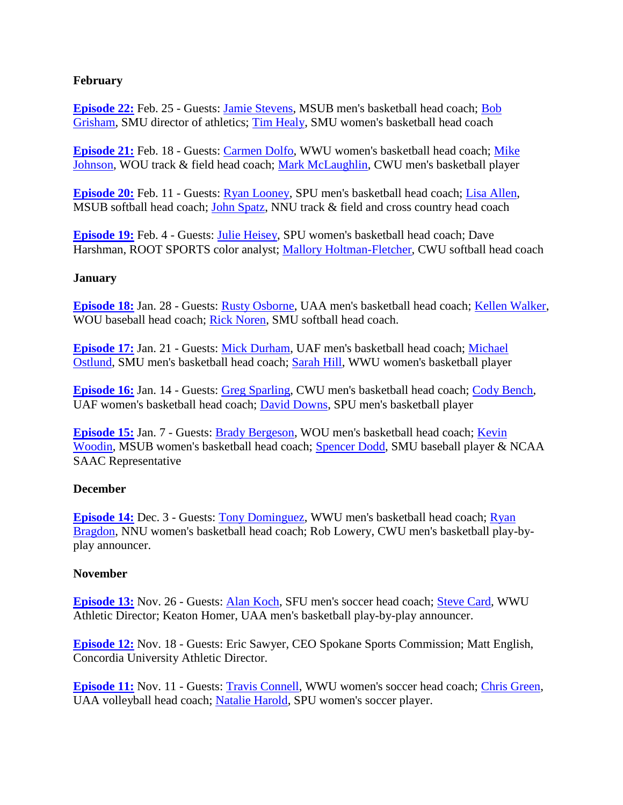# **February**

**[Episode 22:](http://www.blogtalkradio.com/gnacinsider/2014/02/26/gnac-insider-episode-22)** Feb. 25 - Guests: [Jamie Stevens,](http://www.msubsports.com/coaches.aspx?rc=168&path=mbball) MSUB men's basketball head coach; [Bob](http://www.smusaints.com/staff.aspx?staff=4)  [Grisham,](http://www.smusaints.com/staff.aspx?staff=4) SMU director of athletics; [Tim Healy,](http://www.smusaints.com/coaches.aspx?rc=229&path=wbball) SMU women's basketball head coach

**[Episode 21:](http://www.blogtalkradio.com/gnacinsider/2014/02/19/gnac-insider-episode-21)** Feb. 18 - Guests: [Carmen Dolfo,](http://www.wwuvikings.com/sports/w-baskbl/mtt/carmen_dolfo_117014.html) WWU women's basketball head coach; [Mike](http://www.wouwolves.com/coaches.aspx?rc=391&path=track)  [Johnson,](http://www.wouwolves.com/coaches.aspx?rc=391&path=track) WOU track & field head coach; [Mark McLaughlin,](http://www.wildcatsports.com/roster.aspx?rp_id=1857&path=mbball) CWU men's basketball player

**[Episode 20:](http://www.blogtalkradio.com/gnacinsider/2014/02/12/gnac-insider-episode-20)** Feb. 11 - Guests: [Ryan Looney,](http://www.spufalcons.com/coaches.aspx?rc=344&path=mbball) SPU men's basketball head coach; [Lisa Allen,](http://www.msubsports.com/coaches.aspx?rc=172&path=softball) MSUB softball head coach; [John Spatz,](http://www.nnusports.com/coaches.aspx?rc=323&path=mcross) NNU track & field and cross country head coach

**[Episode 19:](http://www.blogtalkradio.com/gnacinsider/2014/02/05/gnac-insider-episode-19)** Feb. 4 - Guests: [Julie Heisey,](http://www.spufalcons.com/coaches.aspx?rc=359&path=) SPU women's basketball head coach; Dave Harshman, ROOT SPORTS color analyst; [Mallory Holtman-Fletcher,](http://www.wildcatsports.com/coaches.aspx?rc=346&path=softball) CWU softball head coach

#### **January**

**[Episode 18:](http://www.blogtalkradio.com/gnacinsider/2014/01/29/gnac-insider-episode-18)** Jan. 28 - Guests: [Rusty Osborne,](http://www.goseawolves.com/ViewArticle.dbml?SPSID=58330&SPID=6356&DB_LANG=C&DB_OEM_ID=13400&ATCLID=675645&Q_SEASON=2013) UAA men's basketball head coach; [Kellen Walker,](http://www.wouwolves.com/coaches.aspx?rc=405&path=baseball) WOU baseball head coach; [Rick Noren,](http://www.smusaints.com/coaches.aspx?rc=250&path=softball) SMU softball head coach.

**[Episode 17:](http://www.blogtalkradio.com/gnacinsider/2014/01/22/gnac-insider-episode-17)** Jan. 21 - Guests: Mick [Durham,](http://www.alaskananooks.com/coaches.aspx?rc=233&path=mbball) UAF men's basketball head coach; [Michael](http://www.smusaints.com/coaches.aspx?rc=226&path=mbball)  [Ostlund,](http://www.smusaints.com/coaches.aspx?rc=226&path=mbball) SMU men's basketball head coach; [Sarah Hill,](http://www.wwuvikings.com/sports/w-baskbl/mtt/sarah_hill_757063.html) WWU women's basketball player

**[Episode 16:](http://www.blogtalkradio.com/gnacinsider/2014/01/15/gnac-insider-episode-16)** Jan. 14 - Guests: [Greg Sparling,](http://www.wildcatsports.com/coaches.aspx?rc=340&path=mbball) CWU men's basketball head coach; [Cody Bench,](http://www.alaskananooks.com/coaches.aspx?rc=238&path=wbball) UAF women's basketball head coach; [David Downs,](http://www.spufalcons.com/roster.aspx?rp_id=1411&path=mbball) SPU men's basketball player

**[Episode 15:](http://www.blogtalkradio.com/gnacinsider/2014/01/08/gnac-insider-episode-15)** Jan. 7 - Guests: [Brady Bergeson,](http://www.wouwolves.com/coaches.aspx?rc=378&path=mbball) WOU men's basketball head coach; [Kevin](http://www.msubsports.com/coaches.aspx?rc=180&path=wbball)  [Woodin,](http://www.msubsports.com/coaches.aspx?rc=180&path=wbball) MSUB women's basketball head coach; [Spencer Dodd,](http://www.smusaints.com/roster.aspx?rp_id=1436&path=baseball) SMU baseball player & NCAA SAAC Representative

#### **December**

**[Episode 14:](http://www.blogtalkradio.com/gnacinsider/2013/12/04/gnac-insider-2013-14-episode-13)** Dec. 3 - Guests: [Tony Dominguez,](http://www.wwuvikings.com/sports/m-baskbl/mtt/tony_dominguez_118758.html) WWU men's basketball head coach; Ryan [Bragdon,](http://www.nnusports.com/coaches.aspx?rc=314&path=wbball) NNU women's basketball head coach; Rob Lowery, CWU men's basketball play-byplay announcer.

#### **November**

**[Episode 13:](http://www.blogtalkradio.com/gnacinsider/2013/11/27/gnac-insider-2013-14-episode-13)** Nov. 26 - Guests: **Alan Koch**, SFU men's soccer head coach; **Steve Card**, WWU Athletic Director; Keaton Homer, UAA men's basketball play-by-play announcer.

**[Episode 12:](http://www.blogtalkradio.com/gnacinsider/2013/11/20/gnac-insider-2013-14-episode-1)** Nov. 18 - Guests: Eric Sawyer, CEO Spokane Sports Commission; Matt English, Concordia University Athletic Director.

**[Episode 11:](http://www.blogtalkradio.com/gnacinsider/2013/11/13/gnac-insider-2013-14-episode-1)** Nov. 11 - Guests: [Travis Connell,](http://www.wwuvikings.com/sports/w-soccer/mtt/travis_connell_137544.html) WWU women's soccer head coach; [Chris Green,](http://www.goseawolves.com/ViewArticle.dbml?SPSID=58324&SPID=6355&DB_LANG=C&DB_OEM_ID=13400&ATCLID=1398569&Q_SEASON=2013) UAA volleyball head coach; [Natalie Harold,](http://www.spufalcons.com/roster.aspx?rp_id=1430&path=wsoc) SPU women's soccer player.